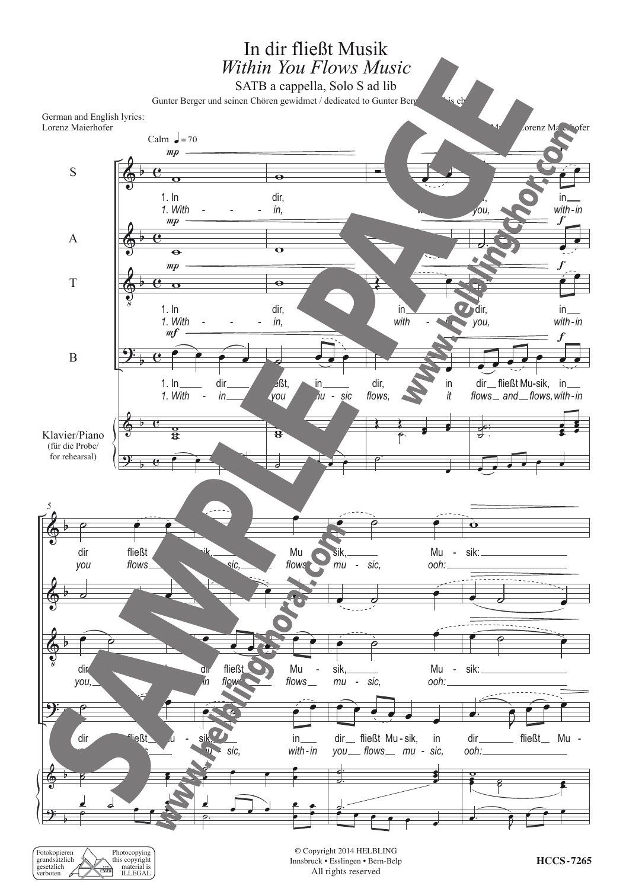

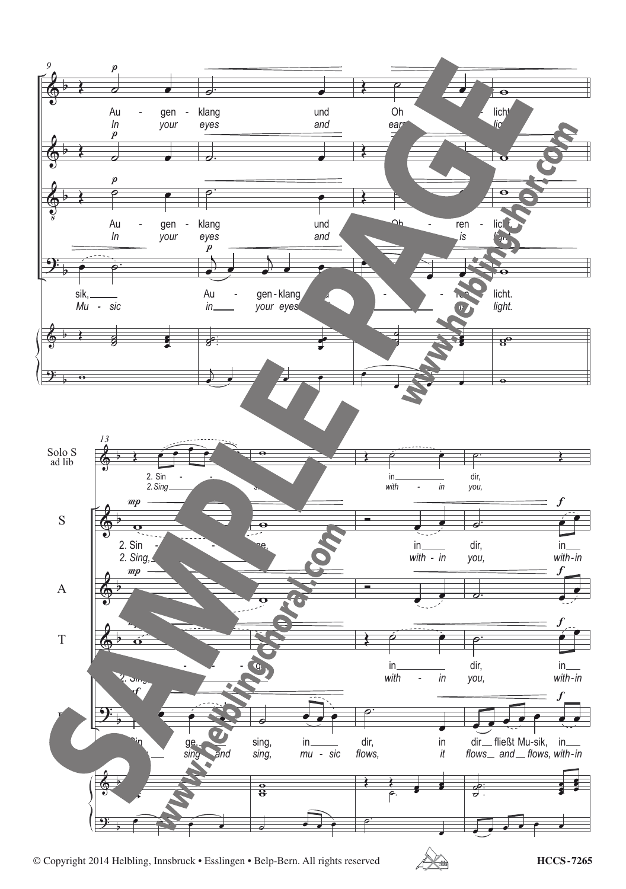

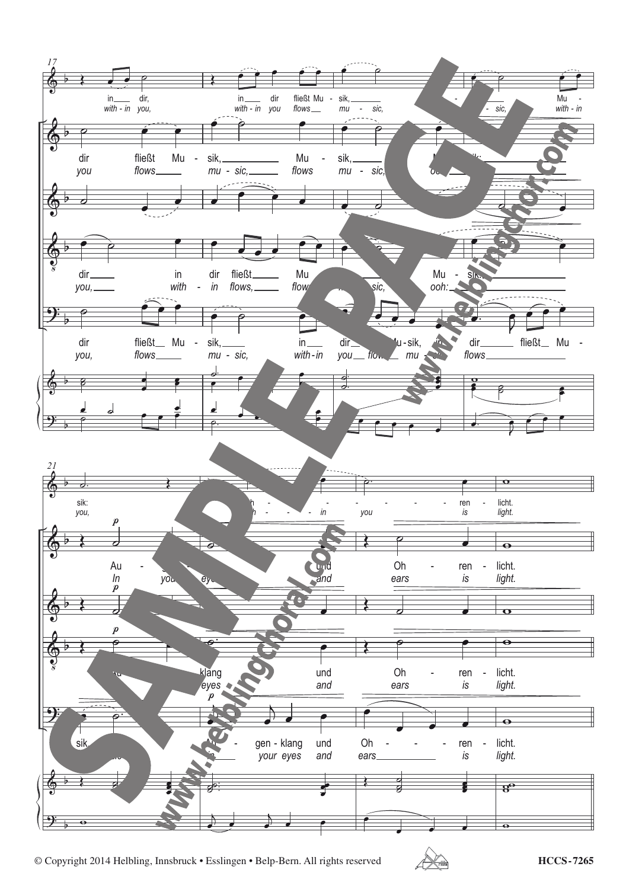